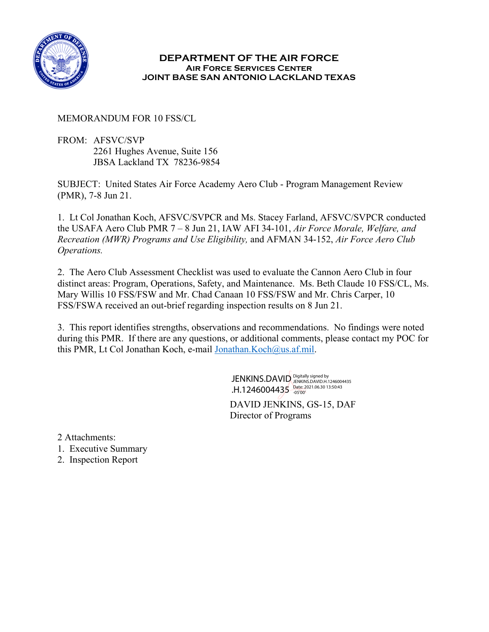

### **DEPARTMENT OF THE AIR FORCE Air Force Services Center JOINT BASE SAN ANTONIO LACKLAND TEXAS**

### MEMORANDUM FOR 10 FSS/CL

FROM: AFSVC/SVP 2261 Hughes Avenue, Suite 156 JBSA Lackland TX 78236-9854

SUBJECT: United States Air Force Academy Aero Club - Program Management Review (PMR), 7-8 Jun 21.

1. Lt Col Jonathan Koch, AFSVC/SVPCR and Ms. Stacey Farland, AFSVC/SVPCR conducted the USAFA Aero Club PMR 7 – 8 Jun 21, IAW AFI 34-101, *Air Force Morale, Welfare, and Recreation (MWR) Programs and Use Eligibility,* and AFMAN 34-152, *Air Force Aero Club Operations.* 

2. The Aero Club Assessment Checklist was used to evaluate the Cannon Aero Club in four distinct areas: Program, Operations, Safety, and Maintenance. Ms. Beth Claude 10 FSS/CL, Ms. Mary Willis 10 FSS/FSW and Mr. Chad Canaan 10 FSS/FSW and Mr. Chris Carper, 10 FSS/FSWA received an out-brief regarding inspection results on 8 Jun 21.

3. This report identifies strengths, observations and recommendations. No findings were noted during this PMR. If there are any questions, or additional comments, please contact my POC for this PMR, Lt Col Jonathan Koch, e-mail [Jonathan.Koch@us.af.mil.](mailto:Jonathan.Koch@us.af.mil)

> DAVID JENKINS, GS-15, DAF Director of Programs JENKINS.DAVID Digitally signed by .H.1246004435 Date: 2021.06.30 13:50:43

2 Attachments:

- 1. Executive Summary
- 2. Inspection Report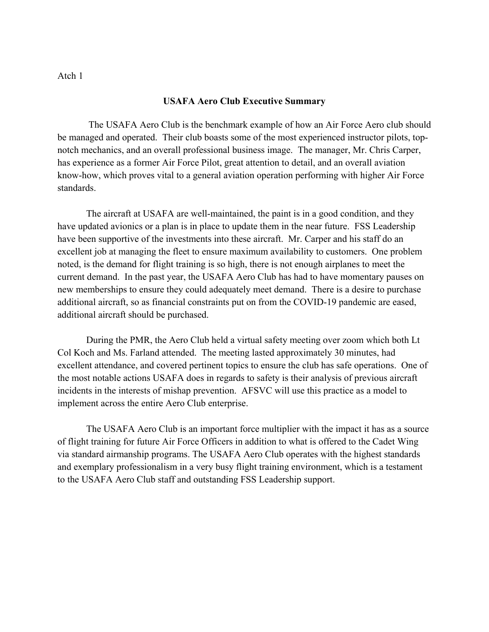Atch 1

#### **USAFA Aero Club Executive Summary**

The USAFA Aero Club is the benchmark example of how an Air Force Aero club should be managed and operated. Their club boasts some of the most experienced instructor pilots, topnotch mechanics, and an overall professional business image. The manager, Mr. Chris Carper, has experience as a former Air Force Pilot, great attention to detail, and an overall aviation know-how, which proves vital to a general aviation operation performing with higher Air Force standards.

The aircraft at USAFA are well-maintained, the paint is in a good condition, and they have updated avionics or a plan is in place to update them in the near future. FSS Leadership have been supportive of the investments into these aircraft. Mr. Carper and his staff do an excellent job at managing the fleet to ensure maximum availability to customers. One problem noted, is the demand for flight training is so high, there is not enough airplanes to meet the current demand. In the past year, the USAFA Aero Club has had to have momentary pauses on new memberships to ensure they could adequately meet demand. There is a desire to purchase additional aircraft, so as financial constraints put on from the COVID-19 pandemic are eased, additional aircraft should be purchased.

During the PMR, the Aero Club held a virtual safety meeting over zoom which both Lt Col Koch and Ms. Farland attended. The meeting lasted approximately 30 minutes, had excellent attendance, and covered pertinent topics to ensure the club has safe operations. One of the most notable actions USAFA does in regards to safety is their analysis of previous aircraft incidents in the interests of mishap prevention. AFSVC will use this practice as a model to implement across the entire Aero Club enterprise.

The USAFA Aero Club is an important force multiplier with the impact it has as a source of flight training for future Air Force Officers in addition to what is offered to the Cadet Wing via standard airmanship programs. The USAFA Aero Club operates with the highest standards and exemplary professionalism in a very busy flight training environment, which is a testament to the USAFA Aero Club staff and outstanding FSS Leadership support.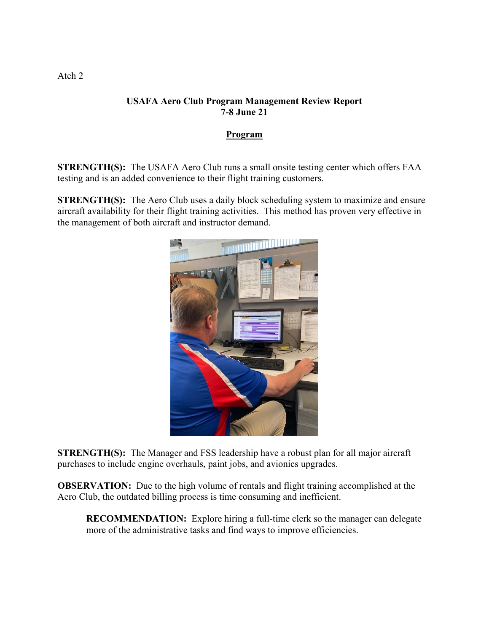## **USAFA Aero Club Program Management Review Report 7-8 June 21**

### **Program**

**STRENGTH(S):** The USAFA Aero Club runs a small onsite testing center which offers FAA testing and is an added convenience to their flight training customers.

**STRENGTH(S):** The Aero Club uses a daily block scheduling system to maximize and ensure aircraft availability for their flight training activities. This method has proven very effective in the management of both aircraft and instructor demand.



**STRENGTH(S):** The Manager and FSS leadership have a robust plan for all major aircraft purchases to include engine overhauls, paint jobs, and avionics upgrades.

**OBSERVATION:** Due to the high volume of rentals and flight training accomplished at the Aero Club, the outdated billing process is time consuming and inefficient.

**RECOMMENDATION:** Explore hiring a full-time clerk so the manager can delegate more of the administrative tasks and find ways to improve efficiencies.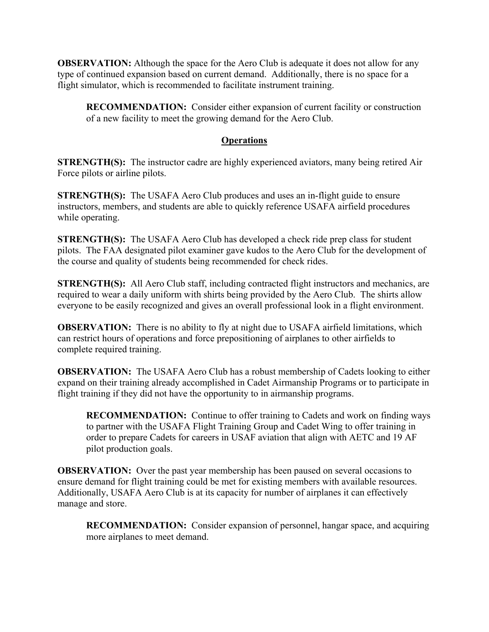**OBSERVATION:** Although the space for the Aero Club is adequate it does not allow for any type of continued expansion based on current demand. Additionally, there is no space for a flight simulator, which is recommended to facilitate instrument training.

**RECOMMENDATION:** Consider either expansion of current facility or construction of a new facility to meet the growing demand for the Aero Club.

# **Operations**

**STRENGTH(S):** The instructor cadre are highly experienced aviators, many being retired Air Force pilots or airline pilots.

**STRENGTH(S):** The USAFA Aero Club produces and uses an in-flight guide to ensure instructors, members, and students are able to quickly reference USAFA airfield procedures while operating.

**STRENGTH(S):** The USAFA Aero Club has developed a check ride prep class for student pilots. The FAA designated pilot examiner gave kudos to the Aero Club for the development of the course and quality of students being recommended for check rides.

**STRENGTH(S):** All Aero Club staff, including contracted flight instructors and mechanics, are required to wear a daily uniform with shirts being provided by the Aero Club. The shirts allow everyone to be easily recognized and gives an overall professional look in a flight environment.

**OBSERVATION:** There is no ability to fly at night due to USAFA airfield limitations, which can restrict hours of operations and force prepositioning of airplanes to other airfields to complete required training.

**OBSERVATION:** The USAFA Aero Club has a robust membership of Cadets looking to either expand on their training already accomplished in Cadet Airmanship Programs or to participate in flight training if they did not have the opportunity to in airmanship programs.

**RECOMMENDATION:** Continue to offer training to Cadets and work on finding ways to partner with the USAFA Flight Training Group and Cadet Wing to offer training in order to prepare Cadets for careers in USAF aviation that align with AETC and 19 AF pilot production goals.

**OBSERVATION:** Over the past year membership has been paused on several occasions to ensure demand for flight training could be met for existing members with available resources. Additionally, USAFA Aero Club is at its capacity for number of airplanes it can effectively manage and store.

**RECOMMENDATION:** Consider expansion of personnel, hangar space, and acquiring more airplanes to meet demand.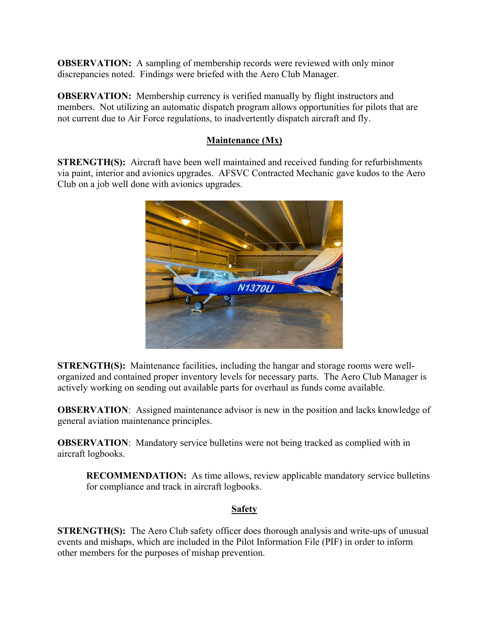**OBSERVATION:** A sampling of membership records were reviewed with only minor discrepancies noted. Findings were briefed with the Aero Club Manager.

**OBSERVATION:** Membership currency is verified manually by flight instructors and members. Not utilizing an automatic dispatch program allows opportunities for pilots that are not current due to Air Force regulations, to inadvertently dispatch aircraft and fly.

# **Maintenance (Mx)**

**STRENGTH(S):** Aircraft have been well maintained and received funding for refurbishments via paint, interior and avionics upgrades. AFSVC Contracted Mechanic gave kudos to the Aero Club on a job well done with avionics upgrades.



**STRENGTH(S):** Maintenance facilities, including the hangar and storage rooms were wellorganized and contained proper inventory levels for necessary parts. The Aero Club Manager is actively working on sending out available parts for overhaul as funds come available.

**OBSERVATION:** Assigned maintenance advisor is new in the position and lacks knowledge of general aviation maintenance principles.

**OBSERVATION:** Mandatory service bulletins were not being tracked as complied with in aircraft logbooks.

**RECOMMENDATION:** As time allows, review applicable mandatory service bulletins for compliance and track in aircraft logbooks.

### **Safety**

**STRENGTH(S):** The Aero Club safety officer does thorough analysis and write-ups of unusual events and mishaps, which are included in the Pilot Information File (PIF) in order to inform other members for the purposes of mishap prevention.